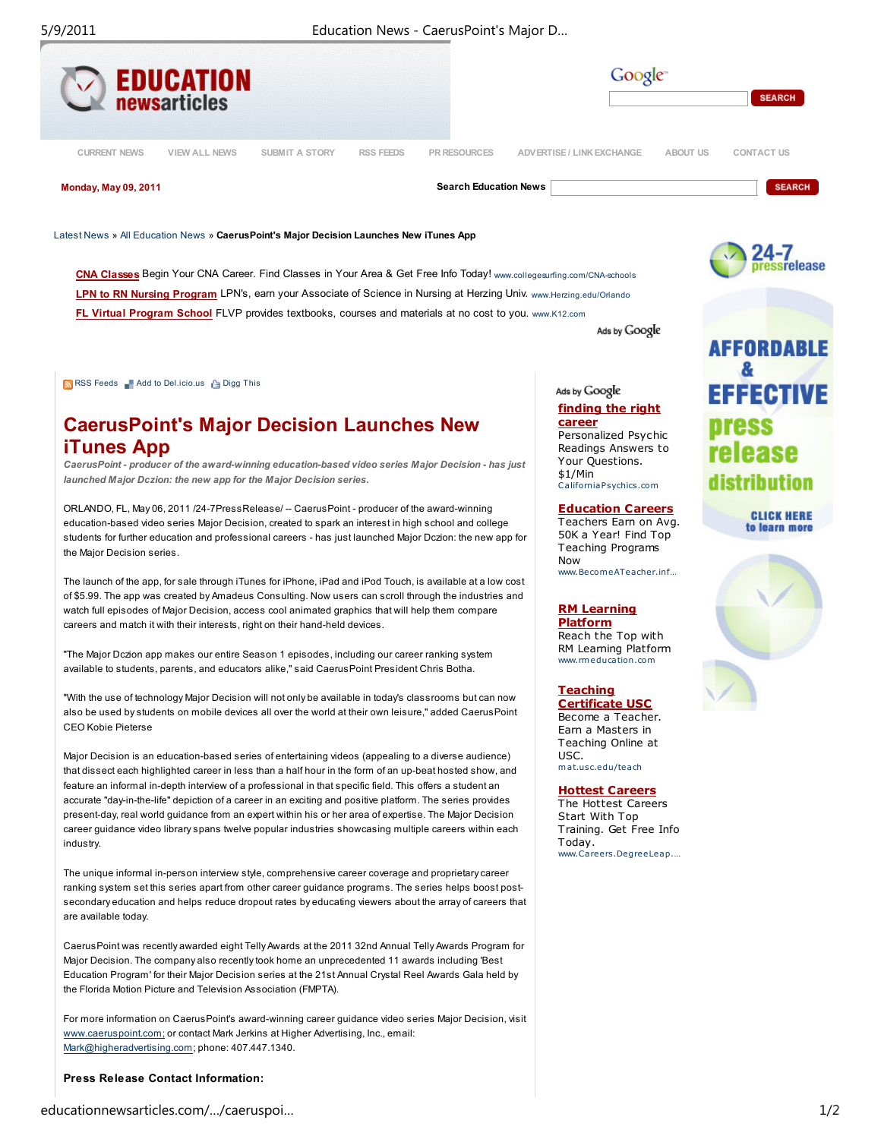

LPN to RN Nursing Program LPN's, earn your Associate of Science in Nursing at Herzing Univ. www.Herzing.edu/Orlando FL Virtual Program School FLVP provides textbooks, courses and materials at no cost to you. www.K12.com

RSS Feeds Add to Del.icio.us **Adder** Digg This

# CaerusPoint's Major Decision Launches New iTunes App

CaerusPoint - producer of the award-winning education-based video series Major Decision - has just launched Major Dczion: the new app for the Major Decision series.

ORLANDO, FL, May 06, 2011 /24-7PressRelease/ -- CaerusPoint - producer of the award-winning education-based video series Major Decision, created to spark an interest in high school and college students for further education and professional careers - has just launched Major Dczion: the new app for the Major Decision series.

The launch of the app, for sale through iTunes for iPhone, iPad and iPod Touch, is available at a low cost of \$5.99. The app was created by Amadeus Consulting. Now users can scroll through the industries and watch full episodes of Major Decision, access cool animated graphics that will help them compare careers and match it with their interests, right on their hand-held devices.

"The Major Dczion app makes our entire Season 1 episodes, including our career ranking system available to students, parents, and educators alike," said CaerusPoint President Chris Botha.

"With the use of technology Major Decision will not only be available in today's classrooms but can now also be used by students on mobile devices all over the world at their own leisure," added CaerusPoint CEO Kobie Pieterse

Major Decision is an education-based series of entertaining videos (appealing to a diverse audience) that dissect each highlighted career in less than a half hour in the form of an up-beat hosted show, and feature an informal in-depth interview of a professional in that specific field. This offers a student an accurate "day-in-the-life" depiction of a career in an exciting and positive platform. The series provides present-day, real world guidance from an expert within his or her area of expertise. The Major Decision career guidance video library spans twelve popular industries showcasing multiple careers within each industry.

The unique informal in-person interview style, comprehensive career coverage and proprietary career ranking system set this series apart from other career guidance programs. The series helps boost postsecondary education and helps reduce dropout rates by educating viewers about the array of careers that are available today.

CaerusPoint was recently awarded eight Telly Awards at the 2011 32nd Annual Telly Awards Program for Major Decision. The company also recently took home an unprecedented 11 awards including 'Best Education Program' for their Major Decision series at the 21st Annual Crystal Reel Awards Gala held by the Florida Motion Picture and Television Association (FMPTA).

For more information on CaerusPoint's award-winning career guidance video series Major Decision, visit www.caeruspoint.com; or contact Mark Jerkins at Higher Advertising, Inc., email: Mark@higheradvertising.com; phone: 407.447.1340.

### Press Release Contact Information:

Ads by Google

Ads by Google finding the right career

Personalized Psychic Readings Answers to Your Questions. \$1/Min CaliforniaPsychics.com

Education Careers

Teachers Earn on Avg. 50K a Year! Find Top Teaching Programs Now www.BecomeATeacher.inf

## RM Learning

Platform Reach the Top with RM Learning Platform www.rm educa tion.com

Teaching Certificate USC Become a Teacher. Earn a Masters in Teaching Online at USC. mat.usc.edu/teach

Hottest Careers

The Hottest Careers Start With Top Training. Get Free Info Today. www.Careers.DegreeLeap.…



**CLICK HERE** to learn more